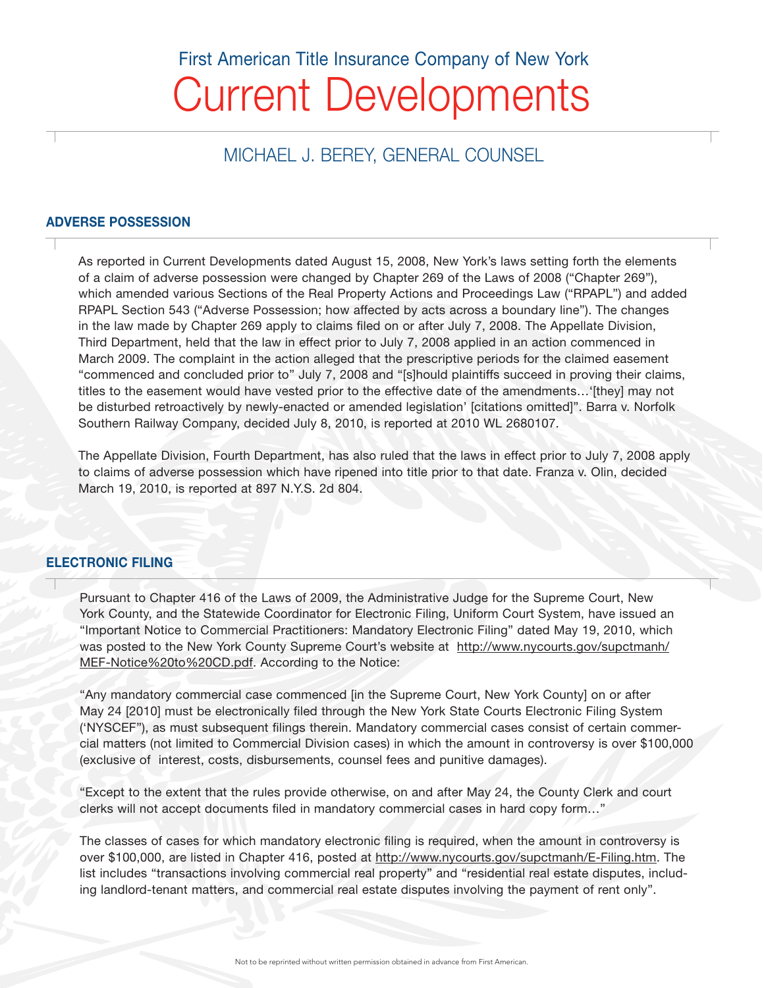# Current Developments First American Title Insurance Company of New York

## MICHAEL J. BEREY, GENERAL COUNSEL

#### ADVERSE POSSESSION

As reported in Current Developments dated August 15, 2008, New York's laws setting forth the elements of a claim of adverse possession were changed by Chapter 269 of the Laws of 2008 ("Chapter 269"), which amended various Sections of the Real Property Actions and Proceedings Law ("RPAPL") and added RPAPL Section 543 ("Adverse Possession; how affected by acts across a boundary line"). The changes in the law made by Chapter 269 apply to claims filed on or after July 7, 2008. The Appellate Division, Third Department, held that the law in effect prior to July 7, 2008 applied in an action commenced in March 2009. The complaint in the action alleged that the prescriptive periods for the claimed easement "commenced and concluded prior to" July 7, 2008 and "[s]hould plaintiffs succeed in proving their claims, titles to the easement would have vested prior to the effective date of the amendments…'[they] may not be disturbed retroactively by newly-enacted or amended legislation' [citations omitted]". Barra v. Norfolk Southern Railway Company, decided July 8, 2010, is reported at 2010 WL 2680107.

The Appellate Division, Fourth Department, has also ruled that the laws in effect prior to July 7, 2008 apply to claims of adverse possession which have ripened into title prior to that date. Franza v. Olin, decided March 19, 2010, is reported at 897 N.Y.S. 2d 804.

#### ELECTRONIC FILING

Pursuant to Chapter 416 of the Laws of 2009, the Administrative Judge for the Supreme Court, New York County, and the Statewide Coordinator for Electronic Filing, Uniform Court System, have issued an "Important Notice to Commercial Practitioners: Mandatory Electronic Filing" dated May 19, 2010, which was posted to the New York County Supreme Court's website at http://www.nycourts.gov/supctmanh/ MEF-Notice%20to%20CD.pdf. According to the Notice:

"Any mandatory commercial case commenced [in the Supreme Court, New York County] on or after May 24 [2010] must be electronically filed through the New York State Courts Electronic Filing System ('NYSCEF"), as must subsequent filings therein. Mandatory commercial cases consist of certain commercial matters (not limited to Commercial Division cases) in which the amount in controversy is over \$100,000 (exclusive of interest, costs, disbursements, counsel fees and punitive damages).

"Except to the extent that the rules provide otherwise, on and after May 24, the County Clerk and court clerks will not accept documents filed in mandatory commercial cases in hard copy form…"

The classes of cases for which mandatory electronic filing is required, when the amount in controversy is over \$100,000, are listed in Chapter 416, posted at http://www.nycourts.gov/supctmanh/E-Filing.htm. The list includes "transactions involving commercial real property" and "residential real estate disputes, including landlord-tenant matters, and commercial real estate disputes involving the payment of rent only".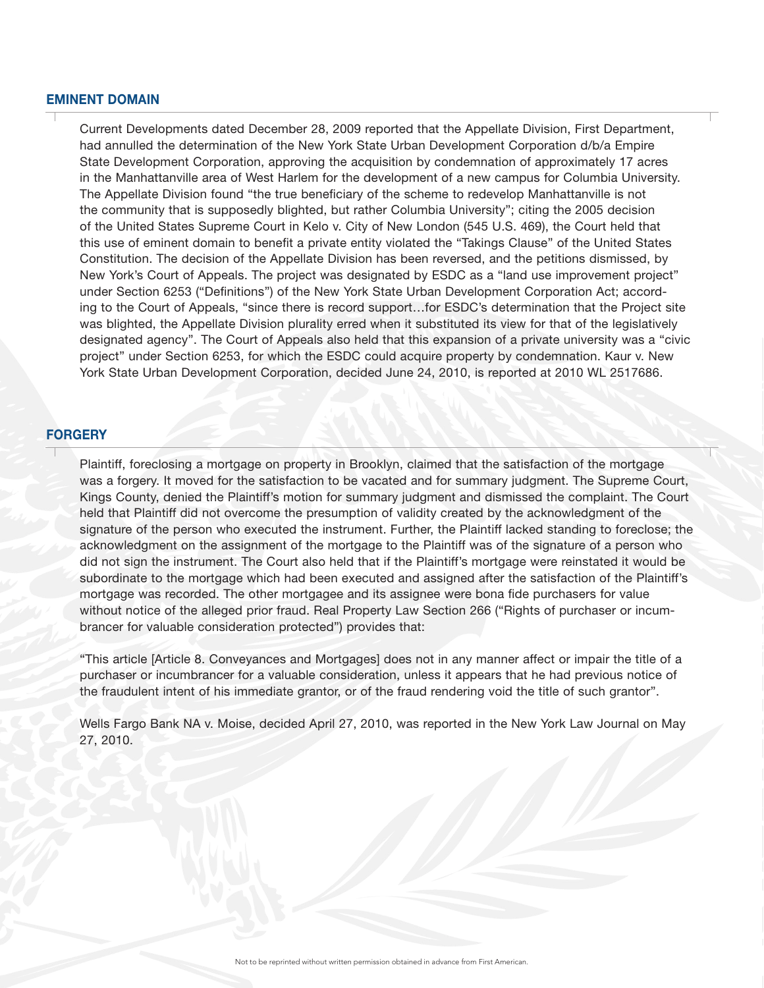#### EMINENT DOMAIN

Current Developments dated December 28, 2009 reported that the Appellate Division, First Department, had annulled the determination of the New York State Urban Development Corporation d/b/a Empire State Development Corporation, approving the acquisition by condemnation of approximately 17 acres in the Manhattanville area of West Harlem for the development of a new campus for Columbia University. The Appellate Division found "the true beneficiary of the scheme to redevelop Manhattanville is not the community that is supposedly blighted, but rather Columbia University"; citing the 2005 decision of the United States Supreme Court in Kelo v. City of New London (545 U.S. 469), the Court held that this use of eminent domain to benefit a private entity violated the "Takings Clause" of the United States Constitution. The decision of the Appellate Division has been reversed, and the petitions dismissed, by New York's Court of Appeals. The project was designated by ESDC as a "land use improvement project" under Section 6253 ("Definitions") of the New York State Urban Development Corporation Act; according to the Court of Appeals, "since there is record support…for ESDC's determination that the Project site was blighted, the Appellate Division plurality erred when it substituted its view for that of the legislatively designated agency". The Court of Appeals also held that this expansion of a private university was a "civic project" under Section 6253, for which the ESDC could acquire property by condemnation. Kaur v. New York State Urban Development Corporation, decided June 24, 2010, is reported at 2010 WL 2517686.

#### **FORGERY**

Plaintiff, foreclosing a mortgage on property in Brooklyn, claimed that the satisfaction of the mortgage was a forgery. It moved for the satisfaction to be vacated and for summary judgment. The Supreme Court, Kings County, denied the Plaintiff's motion for summary judgment and dismissed the complaint. The Court held that Plaintiff did not overcome the presumption of validity created by the acknowledgment of the signature of the person who executed the instrument. Further, the Plaintiff lacked standing to foreclose; the acknowledgment on the assignment of the mortgage to the Plaintiff was of the signature of a person who did not sign the instrument. The Court also held that if the Plaintiff's mortgage were reinstated it would be subordinate to the mortgage which had been executed and assigned after the satisfaction of the Plaintiff's mortgage was recorded. The other mortgagee and its assignee were bona fide purchasers for value without notice of the alleged prior fraud. Real Property Law Section 266 ("Rights of purchaser or incumbrancer for valuable consideration protected") provides that:

"This article [Article 8. Conveyances and Mortgages] does not in any manner affect or impair the title of a purchaser or incumbrancer for a valuable consideration, unless it appears that he had previous notice of the fraudulent intent of his immediate grantor, or of the fraud rendering void the title of such grantor".

Wells Fargo Bank NA v. Moise, decided April 27, 2010, was reported in the New York Law Journal on May 27, 2010.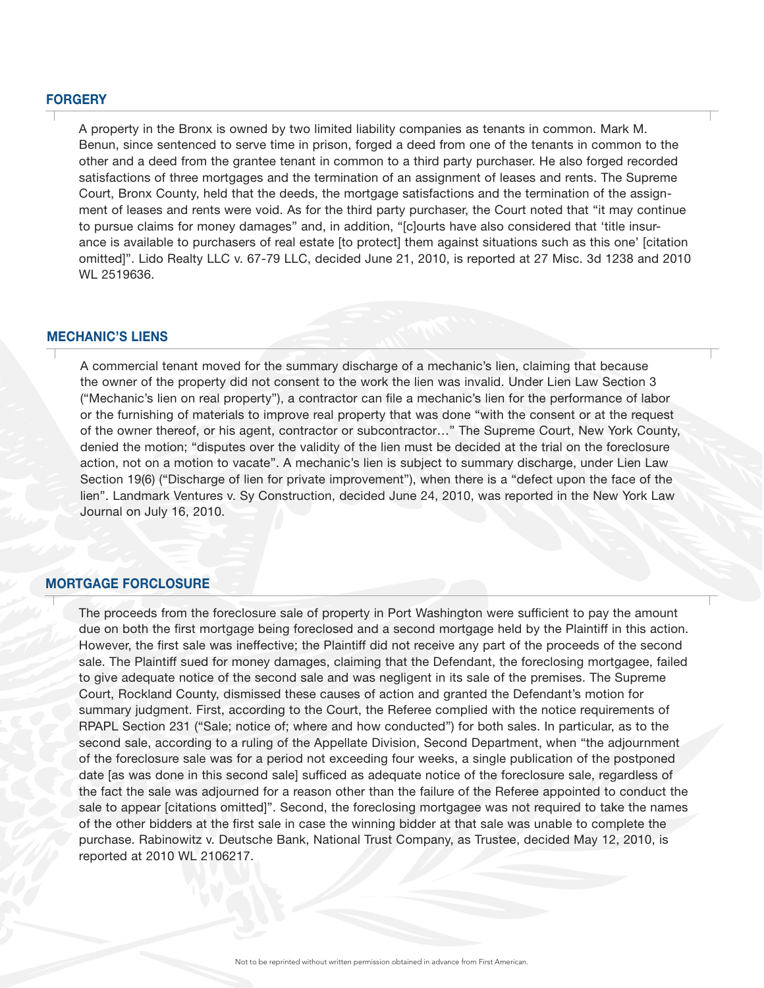#### **FORGERY**

A property in the Bronx is owned by two limited liability companies as tenants in common. Mark M. Benun, since sentenced to serve time in prison, forged a deed from one of the tenants in common to the other and a deed from the grantee tenant in common to a third party purchaser. He also forged recorded satisfactions of three mortgages and the termination of an assignment of leases and rents. The Supreme Court, Bronx County, held that the deeds, the mortgage satisfactions and the termination of the assignment of leases and rents were void. As for the third party purchaser, the Court noted that "it may continue to pursue claims for money damages" and, in addition, "[c]ourts have also considered that 'title insurance is available to purchasers of real estate [to protect] them against situations such as this one' [citation omitted]". Lido Realty LLC v. 67-79 LLC, decided June 21, 2010, is reported at 27 Misc. 3d 1238 and 2010 WL 2519636.

#### MECHANIC'S LIENS

A commercial tenant moved for the summary discharge of a mechanic's lien, claiming that because the owner of the property did not consent to the work the lien was invalid. Under Lien Law Section 3 ("Mechanic's lien on real property"), a contractor can file a mechanic's lien for the performance of labor or the furnishing of materials to improve real property that was done "with the consent or at the request of the owner thereof, or his agent, contractor or subcontractor…" The Supreme Court, New York County, denied the motion; "disputes over the validity of the lien must be decided at the trial on the foreclosure action, not on a motion to vacate". A mechanic's lien is subject to summary discharge, under Lien Law Section 19(6) ("Discharge of lien for private improvement"), when there is a "defect upon the face of the lien". Landmark Ventures v. Sy Construction, decided June 24, 2010, was reported in the New York Law Journal on July 16, 2010.

#### MORTGAGE FORCLOSURE

The proceeds from the foreclosure sale of property in Port Washington were sufficient to pay the amount due on both the first mortgage being foreclosed and a second mortgage held by the Plaintiff in this action. However, the first sale was ineffective; the Plaintiff did not receive any part of the proceeds of the second sale. The Plaintiff sued for money damages, claiming that the Defendant, the foreclosing mortgagee, failed to give adequate notice of the second sale and was negligent in its sale of the premises. The Supreme Court, Rockland County, dismissed these causes of action and granted the Defendant's motion for summary judgment. First, according to the Court, the Referee complied with the notice requirements of RPAPL Section 231 ("Sale; notice of; where and how conducted") for both sales. In particular, as to the second sale, according to a ruling of the Appellate Division, Second Department, when "the adjournment of the foreclosure sale was for a period not exceeding four weeks, a single publication of the postponed date [as was done in this second sale] sufficed as adequate notice of the foreclosure sale, regardless of the fact the sale was adjourned for a reason other than the failure of the Referee appointed to conduct the sale to appear [citations omitted]". Second, the foreclosing mortgagee was not required to take the names of the other bidders at the first sale in case the winning bidder at that sale was unable to complete the purchase. Rabinowitz v. Deutsche Bank, National Trust Company, as Trustee, decided May 12, 2010, is reported at 2010 WL 2106217.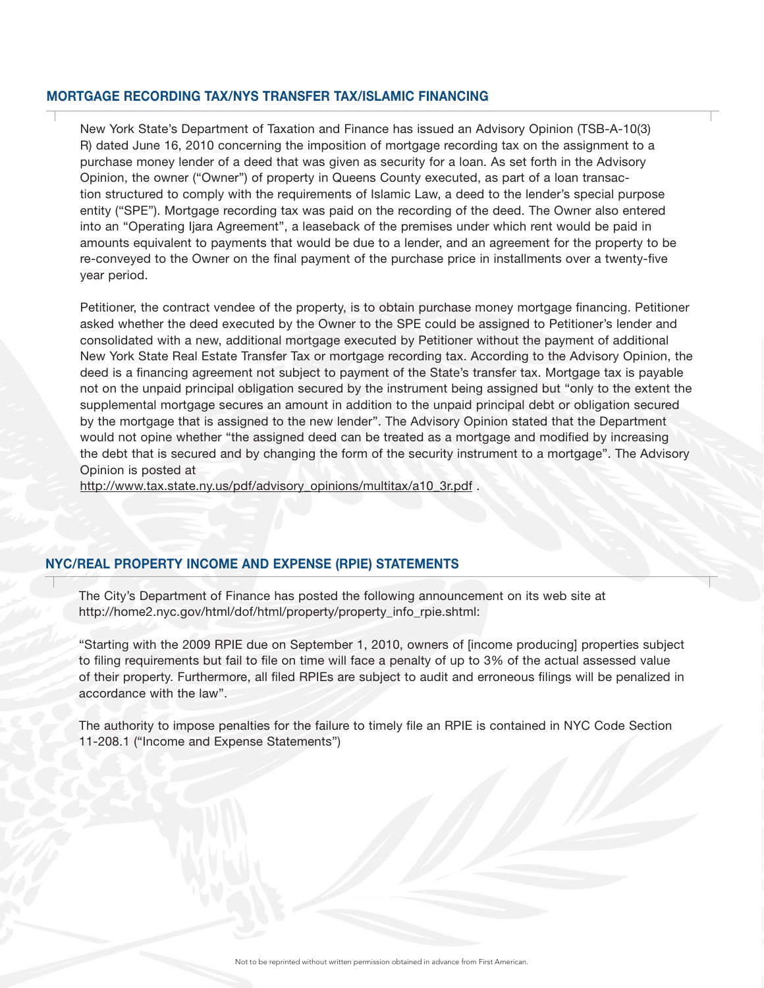#### MORTGAGE RECORDING TAX/NYS TRANSFER TAX/ISLAMIC FINANCING

New York State's Department of Taxation and Finance has issued an Advisory Opinion (TSB-A-10(3) R) dated June 16, 2010 concerning the imposition of mortgage recording tax on the assignment to a purchase money lender of a deed that was given as security for a loan. As set forth in the Advisory Opinion, the owner ("Owner") of property in Queens County executed, as part of a loan transaction structured to comply with the requirements of Islamic Law, a deed to the lender's special purpose entity ("SPE"). Mortgage recording tax was paid on the recording of the deed. The Owner also entered into an "Operating Ijara Agreement", a leaseback of the premises under which rent would be paid in amounts equivalent to payments that would be due to a lender, and an agreement for the property to be re-conveyed to the Owner on the final payment of the purchase price in installments over a twenty-five year period.

Petitioner, the contract vendee of the property, is to obtain purchase money mortgage financing. Petitioner asked whether the deed executed by the Owner to the SPE could be assigned to Petitioner's lender and consolidated with a new, additional mortgage executed by Petitioner without the payment of additional New York State Real Estate Transfer Tax or mortgage recording tax. According to the Advisory Opinion, the deed is a financing agreement not subject to payment of the State's transfer tax. Mortgage tax is payable not on the unpaid principal obligation secured by the instrument being assigned but "only to the extent the supplemental mortgage secures an amount in addition to the unpaid principal debt or obligation secured by the mortgage that is assigned to the new lender". The Advisory Opinion stated that the Department would not opine whether "the assigned deed can be treated as a mortgage and modified by increasing the debt that is secured and by changing the form of the security instrument to a mortgage". The Advisory Opinion is posted at

http://www.tax.state.ny.us/pdf/advisory\_opinions/multitax/a10\_3r.pdf .

#### NYC/REAL PROPERTY INCOME AND EXPENSE (RPIE) STATEMENTS

The City's Department of Finance has posted the following announcement on its web site at http://home2.nyc.gov/html/dof/html/property/property\_info\_rpie.shtml:

"Starting with the 2009 RPIE due on September 1, 2010, owners of [income producing] properties subject to filing requirements but fail to file on time will face a penalty of up to 3% of the actual assessed value of their property. Furthermore, all filed RPIEs are subject to audit and erroneous filings will be penalized in accordance with the law".

The authority to impose penalties for the failure to timely file an RPIE is contained in NYC Code Section 11-208.1 ("Income and Expense Statements")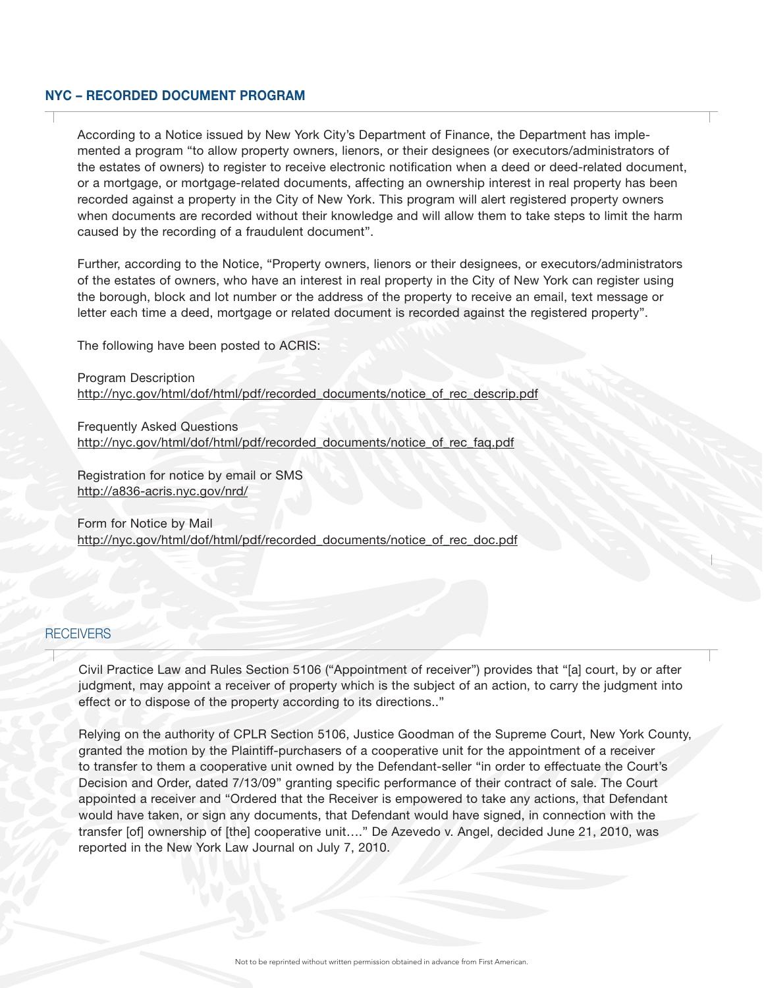#### NYC – RECORDED DOCUMENT PROGRAM

According to a Notice issued by New York City's Department of Finance, the Department has implemented a program "to allow property owners, lienors, or their designees (or executors/administrators of the estates of owners) to register to receive electronic notification when a deed or deed-related document, or a mortgage, or mortgage-related documents, affecting an ownership interest in real property has been recorded against a property in the City of New York. This program will alert registered property owners when documents are recorded without their knowledge and will allow them to take steps to limit the harm caused by the recording of a fraudulent document".

Further, according to the Notice, "Property owners, lienors or their designees, or executors/administrators of the estates of owners, who have an interest in real property in the City of New York can register using the borough, block and lot number or the address of the property to receive an email, text message or letter each time a deed, mortgage or related document is recorded against the registered property".

The following have been posted to ACRIS:

Program Description http://nyc.gov/html/dof/html/pdf/recorded\_documents/notice\_of\_rec\_descrip.pdf

Frequently Asked Questions http://nyc.gov/html/dof/html/pdf/recorded\_documents/notice\_of\_rec\_faq.pdf

Registration for notice by email or SMS http://a836-acris.nyc.gov/nrd/

Form for Notice by Mail http://nyc.gov/html/dof/html/pdf/recorded\_documents/notice\_of\_rec\_doc.pdf

#### **RECEIVERS**

Civil Practice Law and Rules Section 5106 ("Appointment of receiver") provides that "[a] court, by or after judgment, may appoint a receiver of property which is the subject of an action, to carry the judgment into effect or to dispose of the property according to its directions.."

Relying on the authority of CPLR Section 5106, Justice Goodman of the Supreme Court, New York County, granted the motion by the Plaintiff-purchasers of a cooperative unit for the appointment of a receiver to transfer to them a cooperative unit owned by the Defendant-seller "in order to effectuate the Court's Decision and Order, dated 7/13/09" granting specific performance of their contract of sale. The Court appointed a receiver and "Ordered that the Receiver is empowered to take any actions, that Defendant would have taken, or sign any documents, that Defendant would have signed, in connection with the transfer [of] ownership of [the] cooperative unit…." De Azevedo v. Angel, decided June 21, 2010, was reported in the New York Law Journal on July 7, 2010.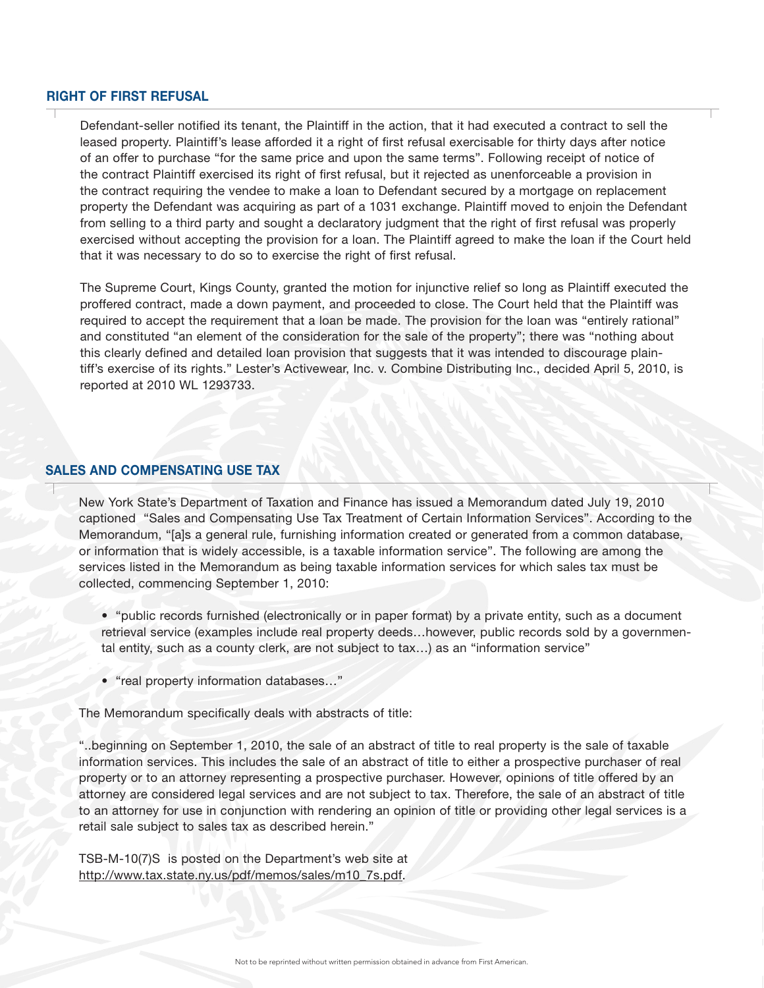#### RIGHT OF FIRST REFUSAL

Defendant-seller notified its tenant, the Plaintiff in the action, that it had executed a contract to sell the leased property. Plaintiff's lease afforded it a right of first refusal exercisable for thirty days after notice of an offer to purchase "for the same price and upon the same terms". Following receipt of notice of the contract Plaintiff exercised its right of first refusal, but it rejected as unenforceable a provision in the contract requiring the vendee to make a loan to Defendant secured by a mortgage on replacement property the Defendant was acquiring as part of a 1031 exchange. Plaintiff moved to enjoin the Defendant from selling to a third party and sought a declaratory judgment that the right of first refusal was properly exercised without accepting the provision for a loan. The Plaintiff agreed to make the loan if the Court held that it was necessary to do so to exercise the right of first refusal.

The Supreme Court, Kings County, granted the motion for injunctive relief so long as Plaintiff executed the proffered contract, made a down payment, and proceeded to close. The Court held that the Plaintiff was required to accept the requirement that a loan be made. The provision for the loan was "entirely rational" and constituted "an element of the consideration for the sale of the property"; there was "nothing about this clearly defined and detailed loan provision that suggests that it was intended to discourage plaintiff's exercise of its rights." Lester's Activewear, Inc. v. Combine Distributing Inc., decided April 5, 2010, is reported at 2010 WL 1293733.

#### SALES AND COMPENSATING USE TAX

New York State's Department of Taxation and Finance has issued a Memorandum dated July 19, 2010 captioned "Sales and Compensating Use Tax Treatment of Certain Information Services". According to the Memorandum, "[a]s a general rule, furnishing information created or generated from a common database, or information that is widely accessible, is a taxable information service". The following are among the services listed in the Memorandum as being taxable information services for which sales tax must be collected, commencing September 1, 2010:

- "public records furnished (electronically or in paper format) by a private entity, such as a document retrieval service (examples include real property deeds…however, public records sold by a governmental entity, such as a county clerk, are not subject to tax…) as an "information service"
- "real property information databases…"

The Memorandum specifically deals with abstracts of title:

"..beginning on September 1, 2010, the sale of an abstract of title to real property is the sale of taxable information services. This includes the sale of an abstract of title to either a prospective purchaser of real property or to an attorney representing a prospective purchaser. However, opinions of title offered by an attorney are considered legal services and are not subject to tax. Therefore, the sale of an abstract of title to an attorney for use in conjunction with rendering an opinion of title or providing other legal services is a retail sale subject to sales tax as described herein."

TSB-M-10(7)S is posted on the Department's web site at http://www.tax.state.ny.us/pdf/memos/sales/m10\_7s.pdf.